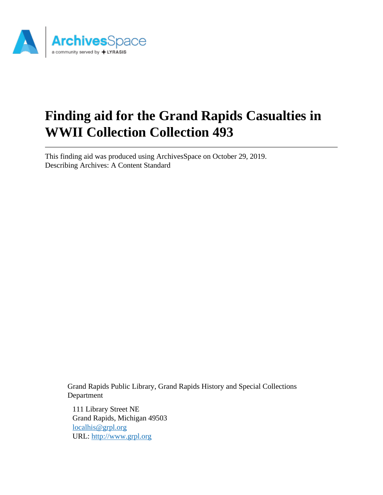

# **Finding aid for the Grand Rapids Casualties in WWII Collection Collection 493**

This finding aid was produced using ArchivesSpace on October 29, 2019. Describing Archives: A Content Standard

> Grand Rapids Public Library, Grand Rapids History and Special Collections Department

111 Library Street NE Grand Rapids, Michigan 49503 [localhis@grpl.org](mailto:localhis@grpl.org) URL:<http://www.grpl.org>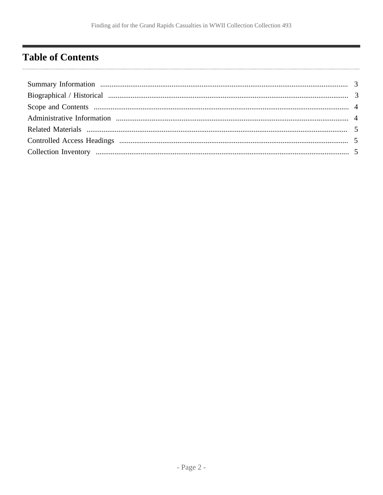# <span id="page-1-0"></span>**Table of Contents**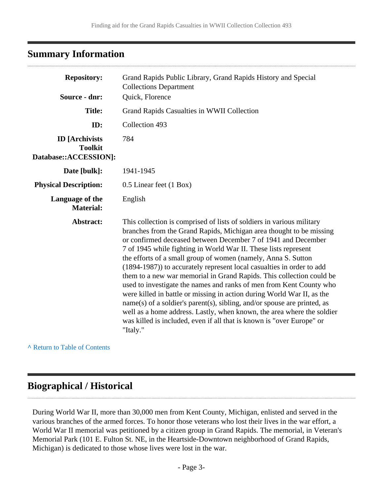# <span id="page-2-0"></span>**Summary Information**

| <b>Repository:</b>                                               | Grand Rapids Public Library, Grand Rapids History and Special<br><b>Collections Department</b>                                                                                                                                                                                                                                                                                                                                                                                                                                                                                                                                                                                                                                                                                                                                                                                                 |  |  |
|------------------------------------------------------------------|------------------------------------------------------------------------------------------------------------------------------------------------------------------------------------------------------------------------------------------------------------------------------------------------------------------------------------------------------------------------------------------------------------------------------------------------------------------------------------------------------------------------------------------------------------------------------------------------------------------------------------------------------------------------------------------------------------------------------------------------------------------------------------------------------------------------------------------------------------------------------------------------|--|--|
| Source - dnr:                                                    | Quick, Florence                                                                                                                                                                                                                                                                                                                                                                                                                                                                                                                                                                                                                                                                                                                                                                                                                                                                                |  |  |
| <b>Title:</b>                                                    | Grand Rapids Casualties in WWII Collection                                                                                                                                                                                                                                                                                                                                                                                                                                                                                                                                                                                                                                                                                                                                                                                                                                                     |  |  |
| ID:                                                              | Collection 493                                                                                                                                                                                                                                                                                                                                                                                                                                                                                                                                                                                                                                                                                                                                                                                                                                                                                 |  |  |
| <b>ID</b> [Archivists<br><b>Toolkit</b><br>Database::ACCESSION]: | 784                                                                                                                                                                                                                                                                                                                                                                                                                                                                                                                                                                                                                                                                                                                                                                                                                                                                                            |  |  |
| Date [bulk]:                                                     | 1941-1945                                                                                                                                                                                                                                                                                                                                                                                                                                                                                                                                                                                                                                                                                                                                                                                                                                                                                      |  |  |
| <b>Physical Description:</b>                                     | 0.5 Linear feet (1 Box)                                                                                                                                                                                                                                                                                                                                                                                                                                                                                                                                                                                                                                                                                                                                                                                                                                                                        |  |  |
| Language of the<br><b>Material:</b>                              | English                                                                                                                                                                                                                                                                                                                                                                                                                                                                                                                                                                                                                                                                                                                                                                                                                                                                                        |  |  |
| Abstract:                                                        | This collection is comprised of lists of soldiers in various military<br>branches from the Grand Rapids, Michigan area thought to be missing<br>or confirmed deceased between December 7 of 1941 and December<br>7 of 1945 while fighting in World War II. These lists represent<br>the efforts of a small group of women (namely, Anna S. Sutton<br>(1894-1987)) to accurately represent local casualties in order to add<br>them to a new war memorial in Grand Rapids. This collection could be<br>used to investigate the names and ranks of men from Kent County who<br>were killed in battle or missing in action during World War II, as the<br>name(s) of a soldier's parent(s), sibling, and/or spouse are printed, as<br>well as a home address. Lastly, when known, the area where the soldier<br>was killed is included, even if all that is known is "over Europe" or<br>"Italy." |  |  |

**^** [Return to Table of Contents](#page-1-0)

### <span id="page-2-1"></span>**Biographical / Historical**

During World War II, more than 30,000 men from Kent County, Michigan, enlisted and served in the various branches of the armed forces. To honor those veterans who lost their lives in the war effort, a World War II memorial was petitioned by a citizen group in Grand Rapids. The memorial, in Veteran's Memorial Park (101 E. Fulton St. NE, in the Heartside-Downtown neighborhood of Grand Rapids, Michigan) is dedicated to those whose lives were lost in the war.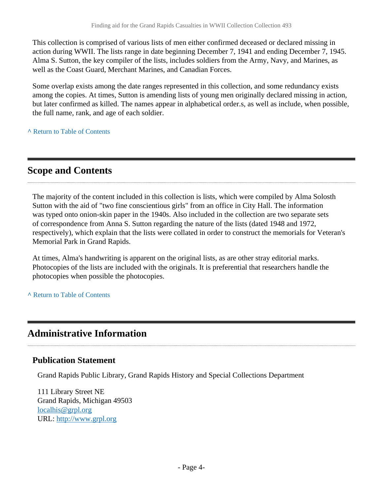This collection is comprised of various lists of men either confirmed deceased or declared missing in action during WWII. The lists range in date beginning December 7, 1941 and ending December 7, 1945. Alma S. Sutton, the key compiler of the lists, includes soldiers from the Army, Navy, and Marines, as well as the Coast Guard, Merchant Marines, and Canadian Forces.

Some overlap exists among the date ranges represented in this collection, and some redundancy exists among the copies. At times, Sutton is amending lists of young men originally declared missing in action, but later confirmed as killed. The names appear in alphabetical order.s, as well as include, when possible, the full name, rank, and age of each soldier.

**^** [Return to Table of Contents](#page-1-0)

# <span id="page-3-0"></span>**Scope and Contents**

The majority of the content included in this collection is lists, which were compiled by Alma Solosth Sutton with the aid of "two fine conscientious girls" from an office in City Hall. The information was typed onto onion-skin paper in the 1940s. Also included in the collection are two separate sets of correspondence from Anna S. Sutton regarding the nature of the lists (dated 1948 and 1972, respectively), which explain that the lists were collated in order to construct the memorials for Veteran's Memorial Park in Grand Rapids.

At times, Alma's handwriting is apparent on the original lists, as are other stray editorial marks. Photocopies of the lists are included with the originals. It is preferential that researchers handle the photocopies when possible the photocopies.

**^** [Return to Table of Contents](#page-1-0)

## <span id="page-3-1"></span>**Administrative Information**

#### **Publication Statement**

Grand Rapids Public Library, Grand Rapids History and Special Collections Department

111 Library Street NE Grand Rapids, Michigan 49503 [localhis@grpl.org](mailto:localhis@grpl.org) URL:<http://www.grpl.org>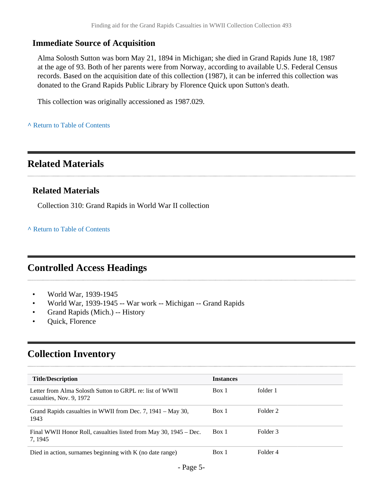#### **Immediate Source of Acquisition**

Alma Solosth Sutton was born May 21, 1894 in Michigan; she died in Grand Rapids June 18, 1987 at the age of 93. Both of her parents were from Norway, according to available U.S. Federal Census records. Based on the acquisition date of this collection (1987), it can be inferred this collection was donated to the Grand Rapids Public Library by Florence Quick upon Sutton's death.

This collection was originally accessioned as 1987.029.

#### **^** [Return to Table of Contents](#page-1-0)

## <span id="page-4-0"></span>**Related Materials**

#### **Related Materials**

Collection 310: Grand Rapids in World War II collection

**^** [Return to Table of Contents](#page-1-0)

## <span id="page-4-1"></span>**Controlled Access Headings**

- World War, 1939-1945
- World War, 1939-1945 -- War work -- Michigan -- Grand Rapids
- Grand Rapids (Mich.) -- History
- Quick, Florence

# <span id="page-4-2"></span>**Collection Inventory**

| <b>Title/Description</b>                                                             | <b>Instances</b> |          |
|--------------------------------------------------------------------------------------|------------------|----------|
| Letter from Alma Solosth Sutton to GRPL re: list of WWII<br>casualties, Nov. 9, 1972 | Box 1            | folder 1 |
| Grand Rapids casualties in WWII from Dec. 7, 1941 – May 30,<br>1943                  | Box 1            | Folder 2 |
| Final WWII Honor Roll, casualties listed from May 30, 1945 – Dec.<br>7, 1945         | Box 1            | Folder 3 |
| Died in action, surnames beginning with K (no date range)                            | Box 1            | Folder 4 |